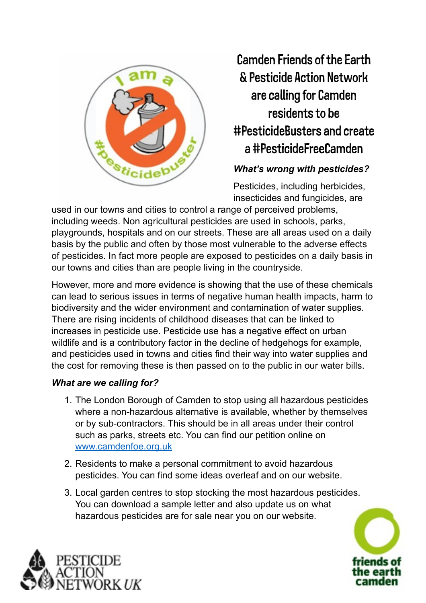

## Camden Friends of the Earth & Pesticide Action Network are caling for Camden residents to be #PesticideBusters and create a #PesticideFreCamden

## *What's wrong with pesticides?*

Pesticides, including herbicides, insecticides and fungicides, are

used in our towns and cities to control a range of perceived problems, including weeds. Non agricultural pesticides are used in schools, parks, playgrounds, hospitals and on our streets. These are all areas used on a daily basis by the public and often by those most vulnerable to the adverse effects of pesticides. In fact more people are exposed to pesticides on a daily basis in our towns and cities than are people living in the countryside.

However, more and more evidence is showing that the use of these chemicals can lead to serious issues in terms of negative human health impacts, harm to biodiversity and the wider environment and contamination of water supplies. There are rising incidents of childhood diseases that can be linked to increases in pesticide use. Pesticide use has a negative effect on urban wildlife and is a contributory factor in the decline of hedgehogs for example, and pesticides used in towns and cities find their way into water supplies and the cost for removing these is then passed on to the public in our water bills.

## *What are we calling for?*

- 1. The London Borough of Camden to stop using all hazardous pesticides where a non-hazardous alternative is available, whether by themselves or by sub-contractors. This should be in all areas under their control such as parks, streets etc. You can find our petition online on [www.camdenfoe.org.uk](http://www.camdenfoe.org.uk)
- 2. Residents to make a personal commitment to avoid hazardous pesticides. You can find some ideas overleaf and on our website.
- 3. Local garden centres to stop stocking the most hazardous pesticides. You can download a sample letter and also update us on what hazardous pesticides are for sale near you on our website.